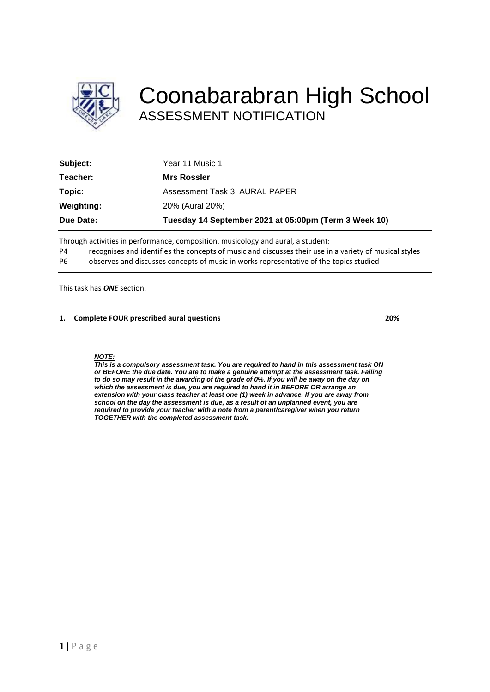

## Coonabarabran High School ASSESSMENT NOTIFICATION

| Subject:   | Year 11 Music 1                                       |
|------------|-------------------------------------------------------|
| Teacher:   | <b>Mrs Rossler</b>                                    |
| Topic:     | Assessment Task 3: AURAL PAPER                        |
| Weighting: | 20% (Aural 20%)                                       |
| Due Date:  | Tuesday 14 September 2021 at 05:00pm (Term 3 Week 10) |

Through activities in performance, composition, musicology and aural, a student:

P4 recognises and identifies the concepts of music and discusses their use in a variety of musical styles

P6 observes and discusses concepts of music in works representative of the topics studied

This task has *ONE* section.

### **1. Complete FOUR prescribed aural questions 20%**

### *NOTE:*

*This is a compulsory assessment task. You are required to hand in this assessment task ON or BEFORE the due date. You are to make a genuine attempt at the assessment task. Failing*  to do so may result in the awarding of the grade of 0%. If you will be away on the day on *which the assessment is due, you are required to hand it in BEFORE OR arrange an extension with your class teacher at least one (1) week in advance. If you are away from school on the day the assessment is due, as a result of an unplanned event, you are required to provide your teacher with a note from a parent/caregiver when you return TOGETHER with the completed assessment task.*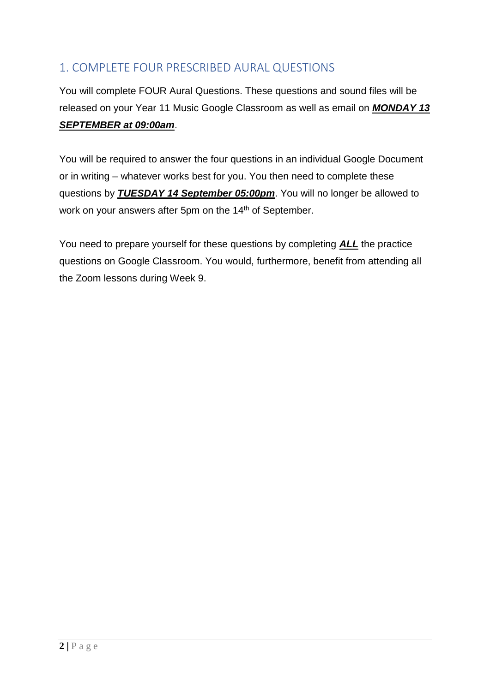### 1. COMPLETE FOUR PRESCRIBED AURAL QUESTIONS

You will complete FOUR Aural Questions. These questions and sound files will be released on your Year 11 Music Google Classroom as well as email on *MONDAY 13 SEPTEMBER at 09:00am*.

You will be required to answer the four questions in an individual Google Document or in writing – whatever works best for you. You then need to complete these questions by *TUESDAY 14 September 05:00pm*. You will no longer be allowed to work on your answers after 5pm on the 14<sup>th</sup> of September.

You need to prepare yourself for these questions by completing *ALL* the practice questions on Google Classroom. You would, furthermore, benefit from attending all the Zoom lessons during Week 9.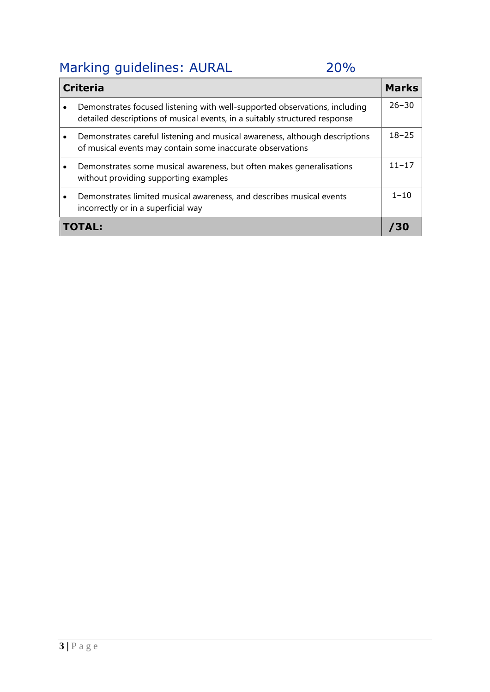# Marking guidelines: AURAL 20%

| <b>Criteria</b> |                                                                                                                                                          |           |
|-----------------|----------------------------------------------------------------------------------------------------------------------------------------------------------|-----------|
|                 | Demonstrates focused listening with well-supported observations, including<br>detailed descriptions of musical events, in a suitably structured response | $26 - 30$ |
|                 | Demonstrates careful listening and musical awareness, although descriptions<br>of musical events may contain some inaccurate observations                | $18 - 25$ |
|                 | Demonstrates some musical awareness, but often makes generalisations<br>without providing supporting examples                                            | $11 - 17$ |
|                 | Demonstrates limited musical awareness, and describes musical events<br>incorrectly or in a superficial way                                              | $1 - 10$  |
| ТОТАН           |                                                                                                                                                          |           |